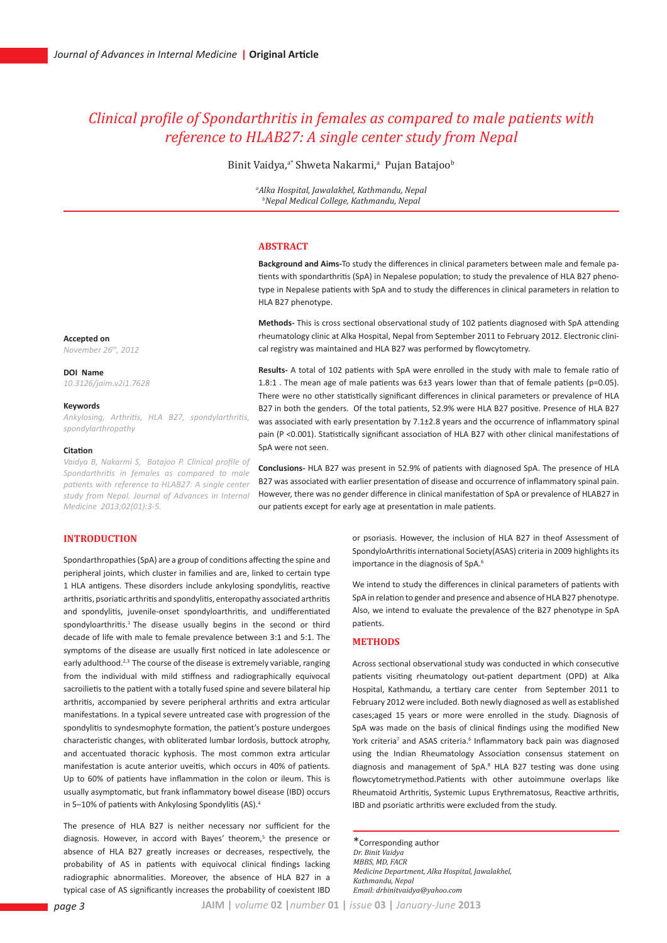# *Clinical profile of Spondarthritis in females as compared to male patients with reference to HLAB27: A single center study from Nepal*

Binit Vaidya,<sup>a\*</sup> Shweta Nakarmi,<sup>a</sup> Pujan Batajoo<sup>b</sup>

*a Alka Hospital, Jawalakhel, Kathmandu, Nepal b Nepal Medical College, Kathmandu, Nepal*

# **ABSTRACT**

**Background and Aims-**To study the differences in clinical parameters between male and female patients with spondarthritis (SpA) in Nepalese population; to study the prevalence of HLA B27 phenotype in Nepalese patients with SpA and to study the differences in clinical parameters in relation to HLA B27 phenotype.

**Methods-** This is cross sectional observational study of 102 patients diagnosed with SpA attending rheumatology clinic at Alka Hospital, Nepal from September 2011 to February 2012. Electronic clinical registry was maintained and HLA B27 was performed by flowcytometry.

**Results-** A total of 102 patients with SpA were enrolled in the study with male to female ratio of 1.8:1 . The mean age of male patients was 6±3 years lower than that of female patients (p=0.05). There were no other statistically significant differences in clinical parameters or prevalence of HLA B27 in both the genders. Of the total patients, 52.9% were HLA B27 positive. Presence of HLA B27 was associated with early presentation by 7.1±2.8 years and the occurrence of inflammatory spinal pain (P <0.001). Statistically significant association of HLA B27 with other clinical manifestations of SpA were not seen.

**Conclusions-** HLA B27 was present in 52.9% of patients with diagnosed SpA. The presence of HLA B27 was associated with earlier presentation of disease and occurrence of inflammatory spinal pain. However, there was no gender difference in clinical manifestation of SpA or prevalence of HLAB27 in our patients except for early age at presentation in male patients.

# **INTRODUCTION**

Spondarthropathies (SpA) are a group of conditions affecting the spine and peripheral joints, which cluster in families and are, linked to certain type 1 HLA antigens. These disorders include ankylosing spondylitis, reactive arthritis, psoriatic arthritis and spondylitis, enteropathy associated arthritis and spondylitis, juvenile-onset spondyloarthritis, and undifferentiated spondyloarthritis.<sup>1</sup> The disease usually begins in the second or third decade of life with male to female prevalence between 3:1 and 5:1. The symptoms of the disease are usually first noticed in late adolescence or early adulthood.<sup>2,3</sup> The course of the disease is extremely variable, ranging from the individual with mild stiffness and radiographically equivocal sacroilietis to the patient with a totally fused spine and severe bilateral hip arthritis, accompanied by severe peripheral arthritis and extra articular manifestations. In a typical severe untreated case with progression of the spondylitis to syndesmophyte formation, the patient's posture undergoes characteristic changes, with obliterated lumbar lordosis, buttock atrophy, and accentuated thoracic kyphosis. The most common extra articular manifestation is acute anterior uveitis, which occurs in 40% of patients. Up to 60% of patients have inflammation in the colon or ileum. This is usually asymptomatic, but frank inflammatory bowel disease (IBD) occurs in 5–10% of patients with Ankylosing Spondylitis (AS).4

The presence of HLA B27 is neither necessary nor sufficient for the diagnosis. However, in accord with Bayes' theorem,<sup>5</sup> the presence or absence of HLA B27 greatly increases or decreases, respectively, the probability of AS in patients with equivocal clinical findings lacking radiographic abnormalities. Moreover, the absence of HLA B27 in a typical case of AS significantly increases the probability of coexistent IBD or psoriasis. However, the inclusion of HLA B27 in theof Assessment of SpondyloArthritis international Society(ASAS) criteria in 2009 highlights its importance in the diagnosis of SpA.<sup>6</sup>

We intend to study the differences in clinical parameters of patients with SpA in relation to gender and presence and absence of HLA B27 phenotype. Also, we intend to evaluate the prevalence of the B27 phenotype in SpA patients.

# **METHODS**

Across sectional observational study was conducted in which consecutive patients visiting rheumatology out-patient department (OPD) at Alka Hospital, Kathmandu, a tertiary care center from September 2011 to February 2012 were included. Both newly diagnosed as well as established cases;aged 15 years or more were enrolled in the study. Diagnosis of SpA was made on the basis of clinical findings using the modified New York criteria<sup>7</sup> and ASAS criteria.<sup>6</sup> Inflammatory back pain was diagnosed using the Indian Rheumatology Association consensus statement on diagnosis and management of SpA.<sup>8</sup> HLA B27 testing was done using flowcytometrymethod.Patients with other autoimmune overlaps like Rheumatoid Arthritis, Systemic Lupus Erythrematosus, Reactive arthritis, IBD and psoriatic arthritis were excluded from the study.

\*Corresponding author *Dr. Binit Vaidya MBBS, MD, FACR Medicine Department, Alka Hospital, Jawalakhel, Kathmandu, Nepal Email: drbinitvaidya@yahoo.com*

**Accepted on** *November 26th, 2012*

#### **DOI Name**

*10.3126/jaim.v2i1.7628*

#### **Keywords**

*Ankylosing, Arthritis, HLA B27, spondylarthritis, spondylarthropathy*

#### **Citation**

*Vaidya B, Nakarmi S, Batajoo P. Clinical profile of Spondarthritis in females as compared to male patients with reference to HLAB27: A single center study from Nepal. Journal of Advances in Internal Medicine 2013;02(01):3-5.*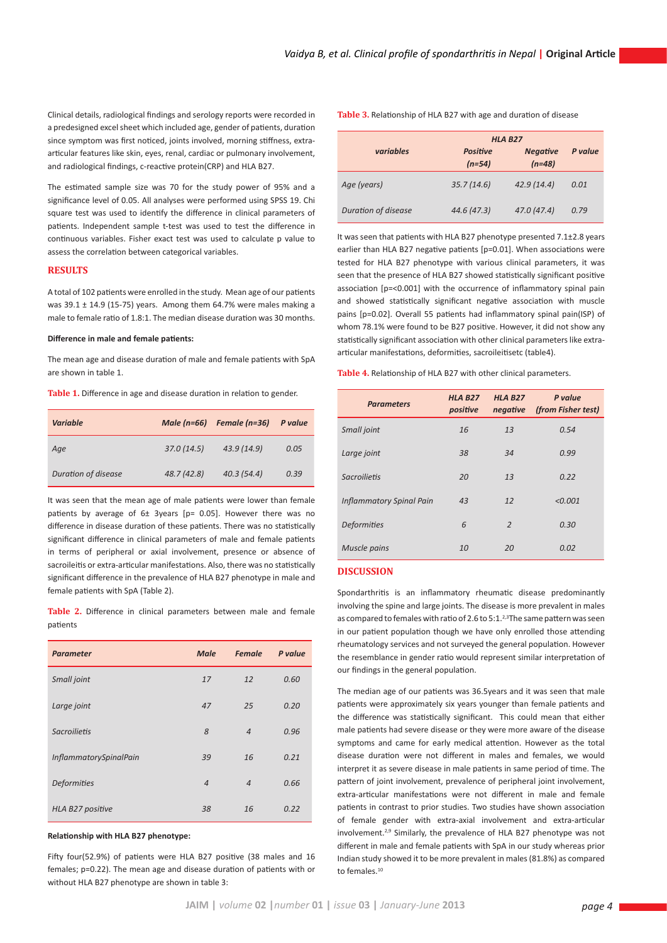Clinical details, radiological findings and serology reports were recorded in a predesigned excel sheet which included age, gender of patients, duration since symptom was first noticed, joints involved, morning stiffness, extraarticular features like skin, eyes, renal, cardiac or pulmonary involvement, and radiological findings, c-reactive protein(CRP) and HLA B27.

The estimated sample size was 70 for the study power of 95% and a significance level of 0.05. All analyses were performed using SPSS 19. Chi square test was used to identify the difference in clinical parameters of patients. Independent sample t-test was used to test the difference in continuous variables. Fisher exact test was used to calculate p value to assess the correlation between categorical variables.

# **RESULTS**

A total of 102 patients were enrolled in the study. Mean age of our patients was  $39.1 \pm 14.9$  (15-75) years. Among them 64.7% were males making a male to female ratio of 1.8:1. The median disease duration was 30 months.

### **Difference in male and female patients:**

The mean age and disease duration of male and female patients with SpA are shown in table 1.

**Table 1.** Difference in age and disease duration in relation to gender.

| <b>Variable</b>     | Male $(n=66)$ | Female (n=36) | P value |
|---------------------|---------------|---------------|---------|
| Age                 | 37.0(14.5)    | 43.9 (14.9)   | 0.05    |
| Duration of disease | 48.7 (42.8)   | 40.3(54.4)    | 0.39    |

It was seen that the mean age of male patients were lower than female patients by average of 6± 3years [p= 0.05]. However there was no difference in disease duration of these patients. There was no statistically significant difference in clinical parameters of male and female patients in terms of peripheral or axial involvement, presence or absence of sacroileitis or extra-articular manifestations. Also, there was no statistically significant difference in the prevalence of HLA B27 phenotype in male and female patients with SpA (Table 2).

**Table 2.** Difference in clinical parameters between male and female patients

| <b>Parameter</b>              | <b>Male</b>    | <b>Female</b>  | P value |
|-------------------------------|----------------|----------------|---------|
| Small joint                   | 17             | 12             | 0.60    |
| Large joint                   | 47             | 25             | 0.20    |
| Sacroilietis                  | 8              | $\overline{4}$ | 0.96    |
| <b>InflammatorySpinalPain</b> | 39             | 16             | 0.21    |
| <b>Deformities</b>            | $\overline{4}$ | $\overline{4}$ | 0.66    |
| HLA B27 positive              | 38             | 16             | 0.22    |

#### **Relationship with HLA B27 phenotype:**

Fifty four(52.9%) of patients were HLA B27 positive (38 males and 16 females; p=0.22). The mean age and disease duration of patients with or without HLA B27 phenotype are shown in table 3:

**Table 3.** Relationship of HLA B27 with age and duration of disease

|                            |                      | <b>HLA B27</b>              |         |  |  |
|----------------------------|----------------------|-----------------------------|---------|--|--|
| variables                  | Positive<br>$(n=54)$ | <b>Negative</b><br>$(n=48)$ | P value |  |  |
| Age (years)                | 35.7(14.6)           | 42.9(14.4)                  | 0.01    |  |  |
| <b>Duration of disease</b> | 44.6 (47.3)          | 47.0(47.4)                  | 0.79    |  |  |

It was seen that patients with HLA B27 phenotype presented 7.1±2.8 years earlier than HLA B27 negative patients [p=0.01]. When associations were tested for HLA B27 phenotype with various clinical parameters, it was seen that the presence of HLA B27 showed statistically significant positive association [p=<0.001] with the occurrence of inflammatory spinal pain and showed statistically significant negative association with muscle pains [p=0.02]. Overall 55 patients had inflammatory spinal pain(ISP) of whom 78.1% were found to be B27 positive. However, it did not show any statistically significant association with other clinical parameters like extraarticular manifestations, deformities, sacroileitisetc (table4).

|  | Table 4. Relationship of HLA B27 with other clinical parameters. |  |  |  |
|--|------------------------------------------------------------------|--|--|--|
|--|------------------------------------------------------------------|--|--|--|

| <b>Parameters</b>               | <b>HLA B27</b><br>positive | <b>HLA B27</b><br>negative | P value<br>(from Fisher test) |
|---------------------------------|----------------------------|----------------------------|-------------------------------|
| Small joint                     | 16                         | 13                         | 0.54                          |
| Large joint                     | 38                         | 34                         | 0.99                          |
| Sacroilietis                    | 20                         | 13                         | 0.22                          |
| <b>Inflammatory Spinal Pain</b> | 43                         | 12                         | < 0.001                       |
| <b>Deformities</b>              | 6                          | $\overline{2}$             | 0.30                          |
| Muscle pains                    | 10                         | 20                         | 0.02                          |

# **DISCUSSION**

Spondarthritis is an inflammatory rheumatic disease predominantly involving the spine and large joints. The disease is more prevalent in males as compared to females with ratio of 2.6 to 5:1.<sup>2,3</sup>The same pattern was seen in our patient population though we have only enrolled those attending rheumatology services and not surveyed the general population. However the resemblance in gender ratio would represent similar interpretation of our findings in the general population.

The median age of our patients was 36.5years and it was seen that male patients were approximately six years younger than female patients and the difference was statistically significant. This could mean that either male patients had severe disease or they were more aware of the disease symptoms and came for early medical attention. However as the total disease duration were not different in males and females, we would interpret it as severe disease in male patients in same period of time. The pattern of joint involvement, prevalence of peripheral joint involvement, extra-articular manifestations were not different in male and female patients in contrast to prior studies. Two studies have shown association of female gender with extra-axial involvement and extra-articular involvement.2,9 Similarly, the prevalence of HLA B27 phenotype was not different in male and female patients with SpA in our study whereas prior Indian study showed it to be more prevalent in males (81.8%) as compared to females.<sup>10</sup>